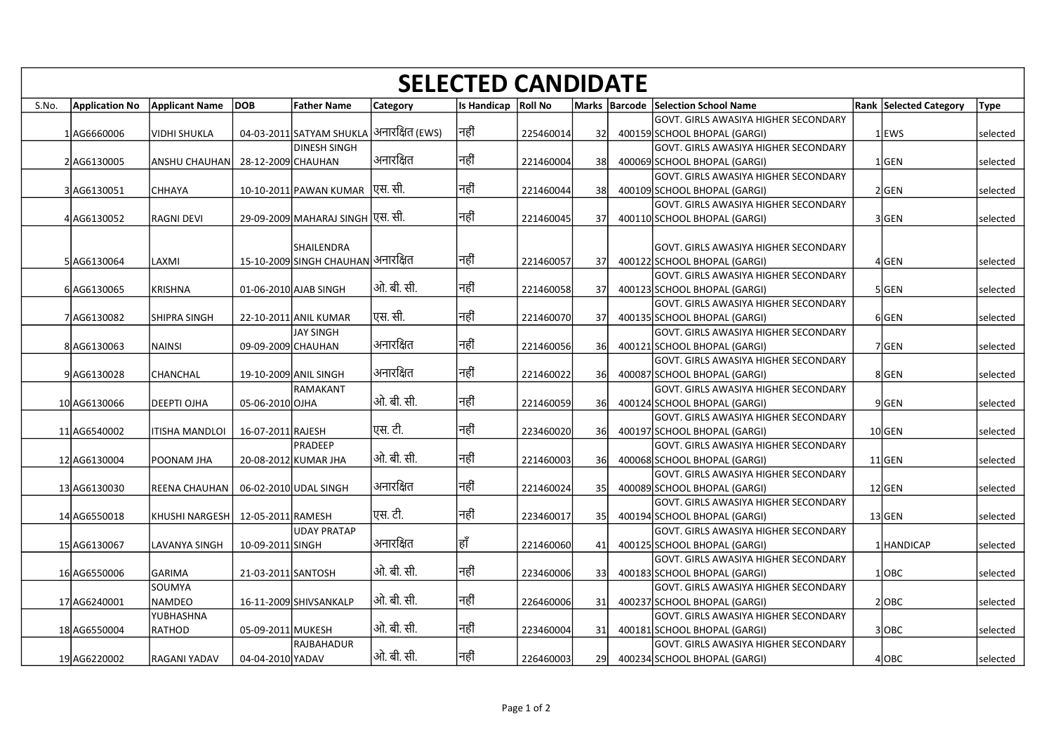|       | <b>SELECTED CANDIDATE</b> |                                       |                    |                                                           |                 |                       |           |      |  |                                                                       |                               |             |
|-------|---------------------------|---------------------------------------|--------------------|-----------------------------------------------------------|-----------------|-----------------------|-----------|------|--|-----------------------------------------------------------------------|-------------------------------|-------------|
| S.No. |                           | Application No Applicant Name DOB     |                    | <b>Father Name</b>                                        | <b>Category</b> | Is Handicap   Roll No |           |      |  | Marks   Barcode   Selection School Name                               | <b>Rank Selected Category</b> | <b>Type</b> |
|       |                           |                                       |                    |                                                           |                 |                       |           |      |  | GOVT. GIRLS AWASIYA HIGHER SECONDARY                                  |                               |             |
|       | 1AG6660006                | VIDHI SHUKLA                          |                    | 04-03-2011 SATYAM SHUKLA  अनारक्षित (EWS)<br>DINESH SINGH |                 | नहीं                  | 225460014 | -32I |  | 400159 SCHOOL BHOPAL (GARGI)<br>lGOVT. GIRLS AWASIYA HIGHER SECONDARY | $1$ EWS                       | selected    |
|       | 2AG6130005                | ANSHU CHAUHAN   28-12-2009 CHAUHAN    |                    |                                                           | अनारक्षित       | नहीं                  | 221460004 | -38l |  | 400069 SCHOOL BHOPAL (GARGI)                                          | 1 GEN                         | selected    |
|       |                           |                                       |                    |                                                           |                 | निहीं                 |           |      |  | GOVT. GIRLS AWASIYA HIGHER SECONDARY                                  |                               |             |
|       | 3 AG6130051               | <b>CHHAYA</b>                         |                    | <u>10-10-</u> 2011 PAWAN KUMAR एस. सी.                    |                 |                       | 221460044 | -38I |  | 400109 SCHOOL BHOPAL (GARGI)<br> GOVT. GIRLS AWASIYA HIGHER SECONDARY | 2GEN                          | selected    |
|       | 4 AG6130052               | <b>RAGNI DEVI</b>                     |                    | 29-09-2009 МАНАRAJ SINGH फर्सि. सी.                       |                 | नहीं                  | 221460045 | 37   |  | 400110 SCHOOL BHOPAL (GARGI)                                          | 3 GEN                         | selected    |
|       |                           |                                       |                    | lshailendra                                               |                 |                       |           |      |  | GOVT. GIRLS AWASIYA HIGHER SECONDARY                                  |                               |             |
|       | 5 AG6130064               | LAXMI                                 |                    | <u>15-10-2009 SINGH CHAUHAN अनारक्षित</u>                 |                 | नहीं                  | 221460057 | -37I |  | 400122 SCHOOL BHOPAL (GARGI)                                          | 4 GEN                         | selected    |
|       |                           |                                       |                    |                                                           | ओ. बी. सी.      | निहीं                 |           |      |  | lGOVT. GIRLS AWASIYA HIGHER SECONDARY                                 |                               |             |
|       | 6 AG6130065               | <b>KRISHNA</b>                        |                    | 01-06-2010 AJAB SINGH                                     |                 |                       | 221460058 | -37I |  | 400123 SCHOOL BHOPAL (GARGI)<br> GOVT. GIRLS AWASIYA HIGHER SECONDARY | 5GEN                          | selected    |
|       | 7 AG6130082               | SHIPRA SINGH                          |                    | 22-10-2011 ANIL KUMAR                                     | $ $ एस. सी.     | निहीं                 | 221460070 | 37   |  | 400135 SCHOOL BHOPAL (GARGI)                                          | 6GEN                          | selected    |
|       | 8AG6130063                | NAINSI                                | 09-09-2009 CHAUHAN | JAY SINGH                                                 | अनारक्षित       | निहीं                 | 221460056 | -36I |  | lGOVT. GIRLS AWASIYA HIGHER SECONDARY<br>400121 SCHOOL BHOPAL (GARGI) | 7GEN                          | selected    |
|       |                           |                                       |                    |                                                           |                 |                       |           |      |  | GOVT. GIRLS AWASIYA HIGHER SECONDARY                                  |                               |             |
|       | 9AG6130028                | <b>CHANCHAL</b>                       |                    | 19-10-2009 ANIL SINGH                                     | अनारक्षित       | नहीं                  | 221460022 | 36l  |  | 400087 SCHOOL BHOPAL (GARGI)                                          | 8GEN                          | selected    |
|       | 10 AG6130066              | <b>DEEPTI OJHA</b>                    | 05-06-2010 OJHA    | IRAMAKANT                                                 | ओ. बी. सी.      | नहीं                  | 221460059 | 36l  |  | lGOVT. GIRLS AWASIYA HIGHER SECONDARY<br>400124 SCHOOL BHOPAL (GARGI) | 9GEN                          | selected    |
|       |                           |                                       |                    |                                                           |                 |                       |           |      |  | lGOVT. GIRLS AWASIYA HIGHER SECONDARY                                 |                               |             |
|       | 11 AG6540002              | ITISHA MANDLOI                        | 16-07-2011 RAJESH  | PRADEEP                                                   | पिस. टी.        | नहीं                  | 223460020 | 36l  |  | 400197 SCHOOL BHOPAL (GARGI)<br>lGOVT. GIRLS AWASIYA HIGHER SECONDARY | $10$ GEN                      | selected    |
|       | 12 AG6130004              | POONAM JHA                            |                    | 20-08-2012 KUMAR JHA                                      | ओ. बी. सी.      | नहीं                  | 221460003 | -36I |  | 400068 SCHOOL BHOPAL (GARGI)                                          | 11GEN                         | selected    |
|       |                           |                                       |                    |                                                           | अनारक्षित       | नहीं                  |           |      |  | GOVT. GIRLS AWASIYA HIGHER SECONDARY                                  |                               |             |
|       | 13 AG6130030              | REENA CHAUHAN   06-02-2010 UDAL SINGH |                    |                                                           |                 |                       | 221460024 | 35I  |  | 400089 SCHOOL BHOPAL (GARGI)<br>GOVT. GIRLS AWASIYA HIGHER SECONDARY  | 12 GEN                        | selected    |
|       | 14 AG6550018              | KHUSHI NARGESH   12-05-2011 RAMESH    |                    |                                                           | एस. टी.         | नहीं                  | 223460017 | -35I |  | 400194 SCHOOL BHOPAL (GARGI)                                          | $13$ GEN                      | selected    |
|       | 15 AG6130067              | LAVANYA SINGH                         | 10-09-2011 SINGH   | UDAY PRATAP                                               | अनारक्षित       | हाँ                   | 221460060 | -41  |  | GOVT. GIRLS AWASIYA HIGHER SECONDARY<br>400125 SCHOOL BHOPAL (GARGI)  | 1   HANDICAP                  | selected    |
|       |                           |                                       |                    |                                                           |                 |                       |           |      |  | GOVT. GIRLS AWASIYA HIGHER SECONDARY                                  |                               |             |
|       | 16 AG6550006              | GARIMA                                | 21-03-2011 SANTOSH |                                                           | ओ. बी. सी.      | निहीं                 | 223460006 | 33   |  | 400183 SCHOOL BHOPAL (GARGI)                                          | $1$ OBC                       | selected    |
|       | 17 AG6240001              | SOUMYA<br>NAMDEO                      |                    | 16-11-2009 SHIVSANKALP                                    | ओ. बी. सी.      | निहीं                 | 226460006 | 31   |  | GOVT. GIRLS AWASIYA HIGHER SECONDARY<br>400237 SCHOOL BHOPAL (GARGI)  | $2$ OBC                       | selected    |
|       |                           | YUBHASHNA                             |                    |                                                           |                 |                       |           |      |  | GOVT. GIRLS AWASIYA HIGHER SECONDARY                                  |                               |             |
|       | 18 AG6550004              | RATHOD                                | 05-09-2011 MUKESH  | RAJBAHADUR                                                | ओ. बी. सी.      | नहीं                  | 223460004 | 31   |  | 400181 SCHOOL BHOPAL (GARGI)<br>GOVT. GIRLS AWASIYA HIGHER SECONDARY  | 3 OBC                         | selected    |
|       | 19AG6220002               | <b>RAGANI YADAV</b>                   | 04-04-2010 YADAV   |                                                           | ओ. बी. सी.      | नहीं                  | 226460003 | 291  |  | 400234 SCHOOL BHOPAL (GARGI)                                          | $4$ OBC                       | selected    |